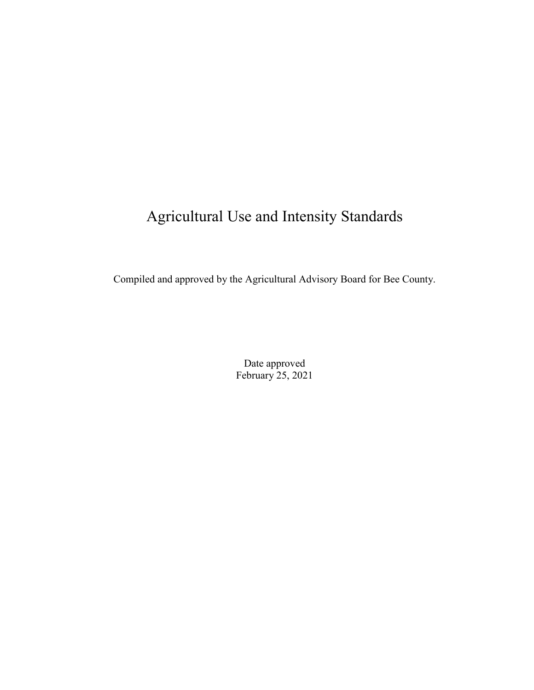# Agricultural Use and Intensity Standards

Compiled and approved by the Agricultural Advisory Board for Bee County.

Date approved February 25, 2021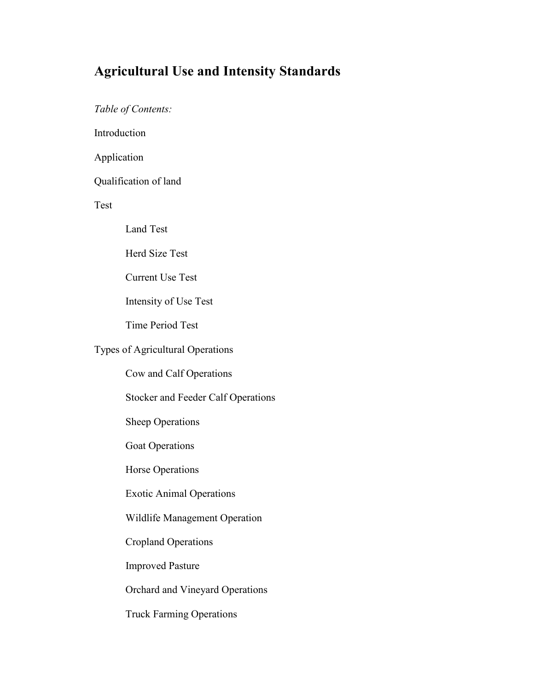## **Agricultural Use and Intensity Standards**

*Table of Contents:*

Introduction

Application

Qualification of land

Test

Land Test

Herd Size Test

Current Use Test

Intensity of Use Test

Time Period Test

Types of Agricultural Operations

Cow and Calf Operations

Stocker and Feeder Calf Operations

Sheep Operations

Goat Operations

Horse Operations

Exotic Animal Operations

Wildlife Management Operation

Cropland Operations

Improved Pasture

Orchard and Vineyard Operations

Truck Farming Operations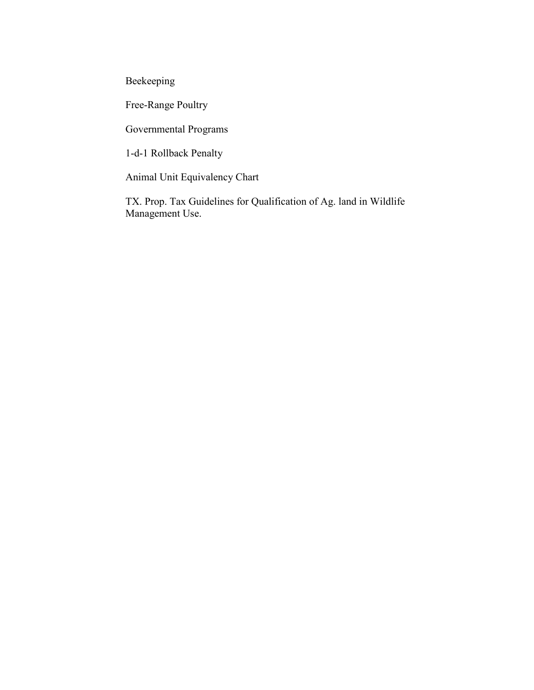Beekeeping

Free-Range Poultry

Governmental Programs

1-d-1 Rollback Penalty

Animal Unit Equivalency Chart

TX. Prop. Tax Guidelines for Qualification of Ag. land in Wildlife Management Use.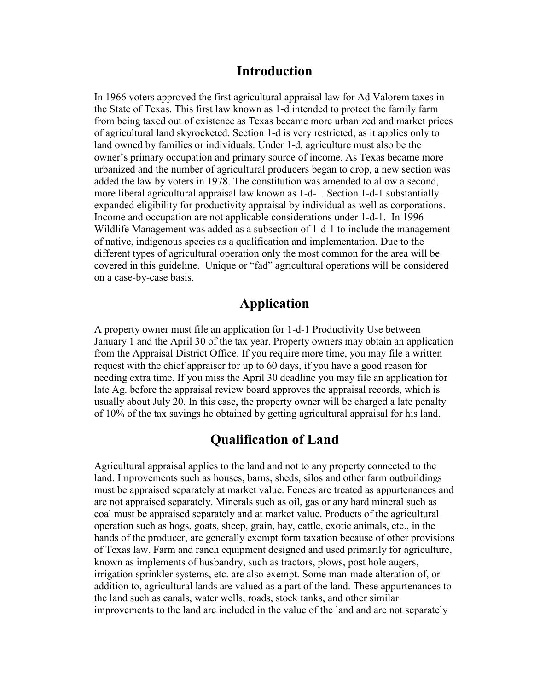#### **Introduction**

In 1966 voters approved the first agricultural appraisal law for Ad Valorem taxes in the State of Texas. This first law known as 1-d intended to protect the family farm from being taxed out of existence as Texas became more urbanized and market prices of agricultural land skyrocketed. Section 1-d is very restricted, as it applies only to land owned by families or individuals. Under 1-d, agriculture must also be the owner's primary occupation and primary source of income. As Texas became more urbanized and the number of agricultural producers began to drop, a new section was added the law by voters in 1978. The constitution was amended to allow a second, more liberal agricultural appraisal law known as 1-d-1. Section 1-d-1 substantially expanded eligibility for productivity appraisal by individual as well as corporations. Income and occupation are not applicable considerations under 1-d-1. In 1996 Wildlife Management was added as a subsection of 1-d-1 to include the management of native, indigenous species as a qualification and implementation. Due to the different types of agricultural operation only the most common for the area will be covered in this guideline. Unique or "fad" agricultural operations will be considered on a case-by-case basis.

### **Application**

A property owner must file an application for 1-d-1 Productivity Use between January 1 and the April 30 of the tax year. Property owners may obtain an application from the Appraisal District Office. If you require more time, you may file a written request with the chief appraiser for up to 60 days, if you have a good reason for needing extra time. If you miss the April 30 deadline you may file an application for late Ag. before the appraisal review board approves the appraisal records, which is usually about July 20. In this case, the property owner will be charged a late penalty of 10% of the tax savings he obtained by getting agricultural appraisal for his land.

#### **Qualification of Land**

Agricultural appraisal applies to the land and not to any property connected to the land. Improvements such as houses, barns, sheds, silos and other farm outbuildings must be appraised separately at market value. Fences are treated as appurtenances and are not appraised separately. Minerals such as oil, gas or any hard mineral such as coal must be appraised separately and at market value. Products of the agricultural operation such as hogs, goats, sheep, grain, hay, cattle, exotic animals, etc., in the hands of the producer, are generally exempt form taxation because of other provisions of Texas law. Farm and ranch equipment designed and used primarily for agriculture, known as implements of husbandry, such as tractors, plows, post hole augers, irrigation sprinkler systems, etc. are also exempt. Some man-made alteration of, or addition to, agricultural lands are valued as a part of the land. These appurtenances to the land such as canals, water wells, roads, stock tanks, and other similar improvements to the land are included in the value of the land and are not separately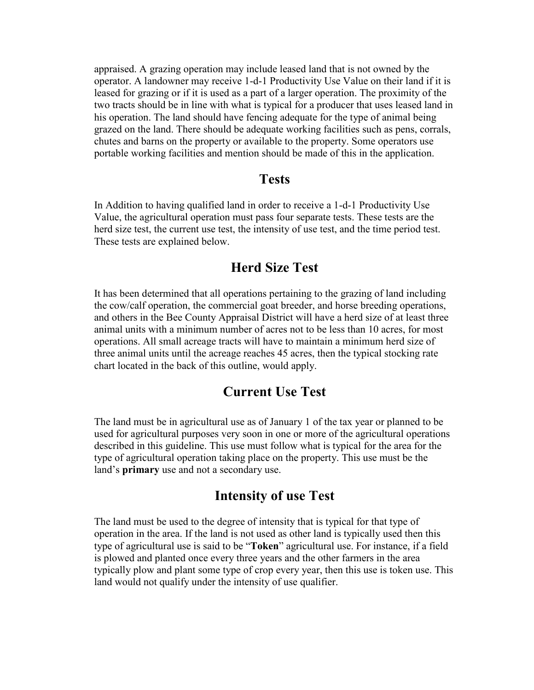appraised. A grazing operation may include leased land that is not owned by the operator. A landowner may receive 1-d-1 Productivity Use Value on their land if it is leased for grazing or if it is used as a part of a larger operation. The proximity of the two tracts should be in line with what is typical for a producer that uses leased land in his operation. The land should have fencing adequate for the type of animal being grazed on the land. There should be adequate working facilities such as pens, corrals, chutes and barns on the property or available to the property. Some operators use portable working facilities and mention should be made of this in the application.

#### **Tests**

In Addition to having qualified land in order to receive a 1-d-1 Productivity Use Value, the agricultural operation must pass four separate tests. These tests are the herd size test, the current use test, the intensity of use test, and the time period test. These tests are explained below.

#### **Herd Size Test**

It has been determined that all operations pertaining to the grazing of land including the cow/calf operation, the commercial goat breeder, and horse breeding operations, and others in the Bee County Appraisal District will have a herd size of at least three animal units with a minimum number of acres not to be less than 10 acres, for most operations. All small acreage tracts will have to maintain a minimum herd size of three animal units until the acreage reaches 45 acres, then the typical stocking rate chart located in the back of this outline, would apply.

#### **Current Use Test**

The land must be in agricultural use as of January 1 of the tax year or planned to be used for agricultural purposes very soon in one or more of the agricultural operations described in this guideline. This use must follow what is typical for the area for the type of agricultural operation taking place on the property. This use must be the land's **primary** use and not a secondary use.

## **Intensity of use Test**

The land must be used to the degree of intensity that is typical for that type of operation in the area. If the land is not used as other land is typically used then this type of agricultural use is said to be "**Token**" agricultural use. For instance, if a field is plowed and planted once every three years and the other farmers in the area typically plow and plant some type of crop every year, then this use is token use. This land would not qualify under the intensity of use qualifier.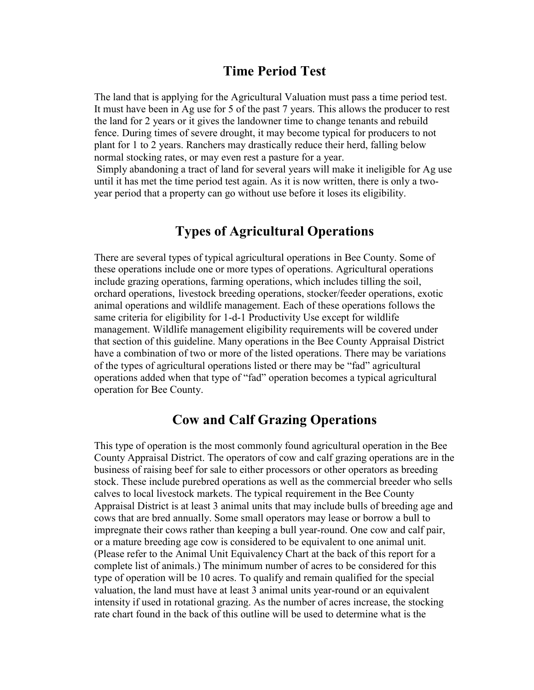#### **Time Period Test**

The land that is applying for the Agricultural Valuation must pass a time period test. It must have been in Ag use for 5 of the past 7 years. This allows the producer to rest the land for 2 years or it gives the landowner time to change tenants and rebuild fence. During times of severe drought, it may become typical for producers to not plant for 1 to 2 years. Ranchers may drastically reduce their herd, falling below normal stocking rates, or may even rest a pasture for a year.

Simply abandoning a tract of land for several years will make it ineligible for Ag use until it has met the time period test again. As it is now written, there is only a twoyear period that a property can go without use before it loses its eligibility.

## **Types of Agricultural Operations**

There are several types of typical agricultural operations in Bee County. Some of these operations include one or more types of operations. Agricultural operations include grazing operations, farming operations, which includes tilling the soil, orchard operations, livestock breeding operations, stocker/feeder operations, exotic animal operations and wildlife management. Each of these operations follows the same criteria for eligibility for 1-d-1 Productivity Use except for wildlife management. Wildlife management eligibility requirements will be covered under that section of this guideline. Many operations in the Bee County Appraisal District have a combination of two or more of the listed operations. There may be variations of the types of agricultural operations listed or there may be "fad" agricultural operations added when that type of "fad" operation becomes a typical agricultural operation for Bee County.

#### **Cow and Calf Grazing Operations**

This type of operation is the most commonly found agricultural operation in the Bee County Appraisal District. The operators of cow and calf grazing operations are in the business of raising beef for sale to either processors or other operators as breeding stock. These include purebred operations as well as the commercial breeder who sells calves to local livestock markets. The typical requirement in the Bee County Appraisal District is at least 3 animal units that may include bulls of breeding age and cows that are bred annually. Some small operators may lease or borrow a bull to impregnate their cows rather than keeping a bull year-round. One cow and calf pair, or a mature breeding age cow is considered to be equivalent to one animal unit. (Please refer to the Animal Unit Equivalency Chart at the back of this report for a complete list of animals.) The minimum number of acres to be considered for this type of operation will be 10 acres. To qualify and remain qualified for the special valuation, the land must have at least 3 animal units year-round or an equivalent intensity if used in rotational grazing. As the number of acres increase, the stocking rate chart found in the back of this outline will be used to determine what is the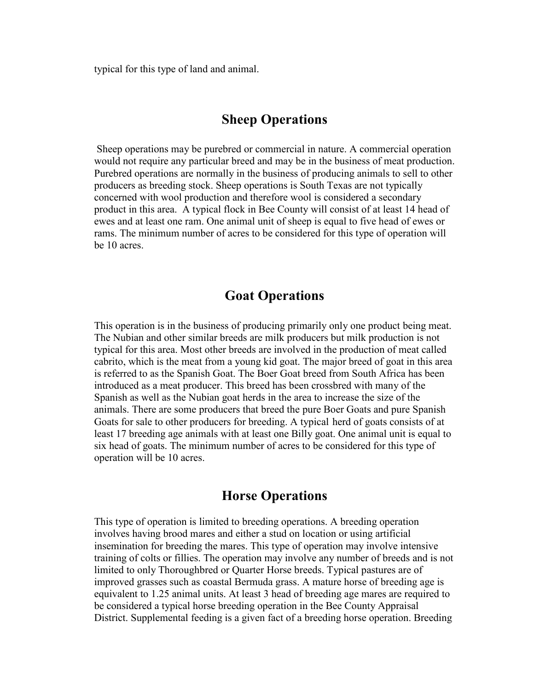typical for this type of land and animal.

#### **Sheep Operations**

Sheep operations may be purebred or commercial in nature. A commercial operation would not require any particular breed and may be in the business of meat production. Purebred operations are normally in the business of producing animals to sell to other producers as breeding stock. Sheep operations is South Texas are not typically concerned with wool production and therefore wool is considered a secondary product in this area. A typical flock in Bee County will consist of at least 14 head of ewes and at least one ram. One animal unit of sheep is equal to five head of ewes or rams. The minimum number of acres to be considered for this type of operation will be 10 acres.

#### **Goat Operations**

This operation is in the business of producing primarily only one product being meat. The Nubian and other similar breeds are milk producers but milk production is not typical for this area. Most other breeds are involved in the production of meat called cabrito, which is the meat from a young kid goat. The major breed of goat in this area is referred to as the Spanish Goat. The Boer Goat breed from South Africa has been introduced as a meat producer. This breed has been crossbred with many of the Spanish as well as the Nubian goat herds in the area to increase the size of the animals. There are some producers that breed the pure Boer Goats and pure Spanish Goats for sale to other producers for breeding. A typical herd of goats consists of at least 17 breeding age animals with at least one Billy goat. One animal unit is equal to six head of goats. The minimum number of acres to be considered for this type of operation will be 10 acres.

#### **Horse Operations**

This type of operation is limited to breeding operations. A breeding operation involves having brood mares and either a stud on location or using artificial insemination for breeding the mares. This type of operation may involve intensive training of colts or fillies. The operation may involve any number of breeds and is not limited to only Thoroughbred or Quarter Horse breeds. Typical pastures are of improved grasses such as coastal Bermuda grass. A mature horse of breeding age is equivalent to 1.25 animal units. At least 3 head of breeding age mares are required to be considered a typical horse breeding operation in the Bee County Appraisal District. Supplemental feeding is a given fact of a breeding horse operation. Breeding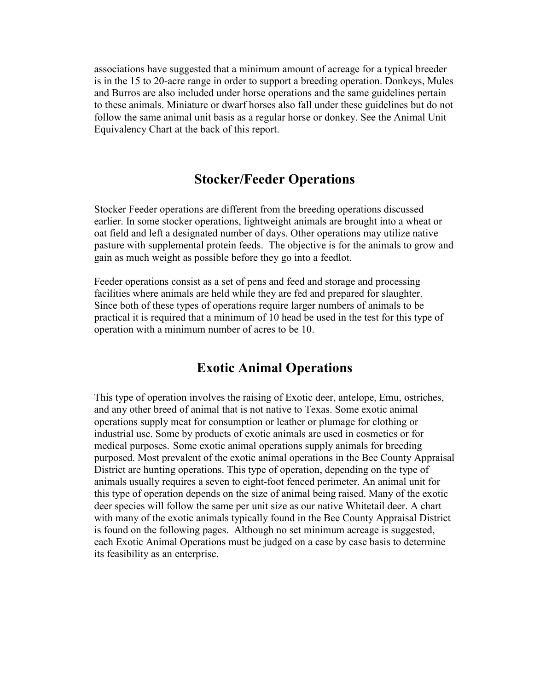associations have suggested that a minimum amount of acreage for a typical breeder is in the 15 to 20-acre range in order to support a breeding operation. Donkeys, Mules and Burros are also included under horse operations and the same guidelines pertain to these animals. Miniature or dwarf horses also fall under these guidelines but do not follow the same animal unit basis as a regular horse or donkey. See the Animal Unit Equivalency Chart at the back of this report.

#### **Stocker/Feeder Operations**

Stocker Feeder operations are different from the breeding operations discussed earlier. In some stocker operations, lightweight animals are brought into a wheat or oat field and left a designated number of days. Other operations may utilize native pasture with supplemental protein feeds. The objective is for the animals to grow and gain as much weight as possible before they go into a feedlot.

Feeder operations consist as a set of pens and feed and storage and processing facilities where animals are held while they are fed and prepared for slaughter. Since both of these types of operations require larger numbers of animals to be practical it is required that a minimum of 10 head be used in the test for this type of operation with a minimum number of acres to be 10.

#### **Exotic Animal Operations**

This type of operation involves the raising of Exotic deer, antelope, Emu, ostriches, and any other breed of animal that is not native to Texas. Some exotic animal operations supply meat for consumption or leather or plumage for clothing or industrial use. Some by products of exotic animals are used in cosmetics or for medical purposes. Some exotic animal operations supply animals for breeding purposed. Most prevalent of the exotic animal operations in the Bee County Appraisal District are hunting operations. This type of operation, depending on the type of animals usually requires a seven to eight-foot fenced perimeter. An animal unit for this type of operation depends on the size of animal being raised. Many of the exotic deer species will follow the same per unit size as our native Whitetail deer. A chart with many of the exotic animals typically found in the Bee County Appraisal District is found on the following pages. Although no set minimum acreage is suggested, each Exotic Animal Operations must be judged on a case by case basis to determine its feasibility as an enterprise.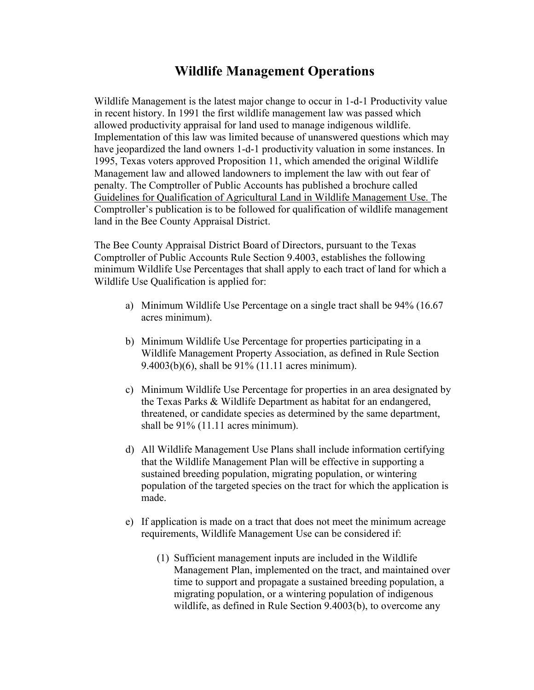## **Wildlife Management Operations**

Wildlife Management is the latest major change to occur in 1-d-1 Productivity value in recent history. In 1991 the first wildlife management law was passed which allowed productivity appraisal for land used to manage indigenous wildlife. Implementation of this law was limited because of unanswered questions which may have jeopardized the land owners 1-d-1 productivity valuation in some instances. In 1995, Texas voters approved Proposition 11, which amended the original Wildlife Management law and allowed landowners to implement the law with out fear of penalty. The Comptroller of Public Accounts has published a brochure called Guidelines for Qualification of Agricultural Land in Wildlife Management Use. The Comptroller's publication is to be followed for qualification of wildlife management land in the Bee County Appraisal District.

The Bee County Appraisal District Board of Directors, pursuant to the Texas Comptroller of Public Accounts Rule Section 9.4003, establishes the following minimum Wildlife Use Percentages that shall apply to each tract of land for which a Wildlife Use Qualification is applied for:

- a) Minimum Wildlife Use Percentage on a single tract shall be 94% (16.67 acres minimum).
- b) Minimum Wildlife Use Percentage for properties participating in a Wildlife Management Property Association, as defined in Rule Section 9.4003(b)(6), shall be 91% (11.11 acres minimum).
- c) Minimum Wildlife Use Percentage for properties in an area designated by the Texas Parks & Wildlife Department as habitat for an endangered, threatened, or candidate species as determined by the same department, shall be 91% (11.11 acres minimum).
- d) All Wildlife Management Use Plans shall include information certifying that the Wildlife Management Plan will be effective in supporting a sustained breeding population, migrating population, or wintering population of the targeted species on the tract for which the application is made.
- e) If application is made on a tract that does not meet the minimum acreage requirements, Wildlife Management Use can be considered if:
	- (1) Sufficient management inputs are included in the Wildlife Management Plan, implemented on the tract, and maintained over time to support and propagate a sustained breeding population, a migrating population, or a wintering population of indigenous wildlife, as defined in Rule Section 9.4003(b), to overcome any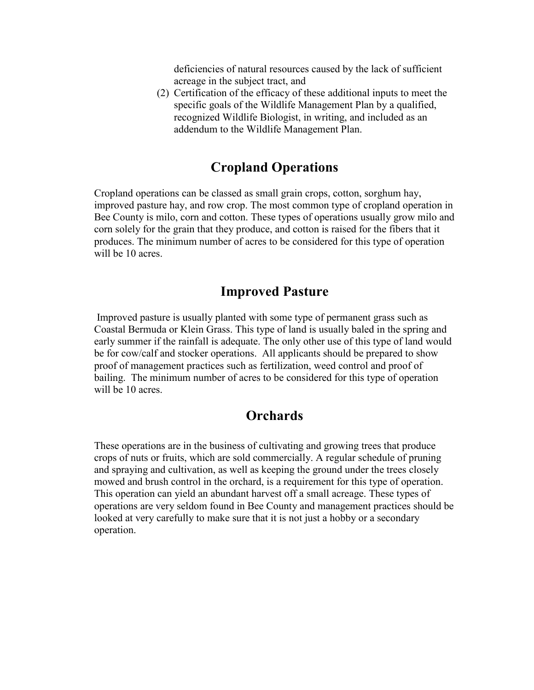deficiencies of natural resources caused by the lack of sufficient acreage in the subject tract, and

(2) Certification of the efficacy of these additional inputs to meet the specific goals of the Wildlife Management Plan by a qualified, recognized Wildlife Biologist, in writing, and included as an addendum to the Wildlife Management Plan.

#### **Cropland Operations**

Cropland operations can be classed as small grain crops, cotton, sorghum hay, improved pasture hay, and row crop. The most common type of cropland operation in Bee County is milo, corn and cotton. These types of operations usually grow milo and corn solely for the grain that they produce, and cotton is raised for the fibers that it produces. The minimum number of acres to be considered for this type of operation will be 10 acres.

#### **Improved Pasture**

Improved pasture is usually planted with some type of permanent grass such as Coastal Bermuda or Klein Grass. This type of land is usually baled in the spring and early summer if the rainfall is adequate. The only other use of this type of land would be for cow/calf and stocker operations. All applicants should be prepared to show proof of management practices such as fertilization, weed control and proof of bailing. The minimum number of acres to be considered for this type of operation will be 10 acres.

#### **Orchards**

These operations are in the business of cultivating and growing trees that produce crops of nuts or fruits, which are sold commercially. A regular schedule of pruning and spraying and cultivation, as well as keeping the ground under the trees closely mowed and brush control in the orchard, is a requirement for this type of operation. This operation can yield an abundant harvest off a small acreage. These types of operations are very seldom found in Bee County and management practices should be looked at very carefully to make sure that it is not just a hobby or a secondary operation.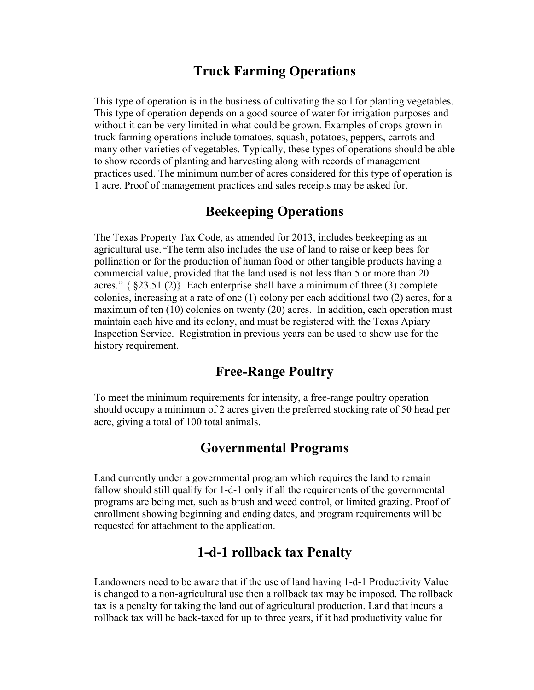## **Truck Farming Operations**

This type of operation is in the business of cultivating the soil for planting vegetables. This type of operation depends on a good source of water for irrigation purposes and without it can be very limited in what could be grown. Examples of crops grown in truck farming operations include tomatoes, squash, potatoes, peppers, carrots and many other varieties of vegetables. Typically, these types of operations should be able to show records of planting and harvesting along with records of management practices used. The minimum number of acres considered for this type of operation is 1 acre. Proof of management practices and sales receipts may be asked for.

## **Beekeeping Operations**

The Texas Property Tax Code, as amended for 2013, includes beekeeping as an agricultural use. "The term also includes the use of land to raise or keep bees for pollination or for the production of human food or other tangible products having a commercial value, provided that the land used is not less than 5 or more than 20 acres."  $\{$   $\S 23.51 (2)\}$  Each enterprise shall have a minimum of three (3) complete colonies, increasing at a rate of one (1) colony per each additional two (2) acres, for a maximum of ten (10) colonies on twenty (20) acres. In addition, each operation must maintain each hive and its colony, and must be registered with the Texas Apiary Inspection Service. Registration in previous years can be used to show use for the history requirement.

## **Free-Range Poultry**

To meet the minimum requirements for intensity, a free-range poultry operation should occupy a minimum of 2 acres given the preferred stocking rate of 50 head per acre, giving a total of 100 total animals.

## **Governmental Programs**

Land currently under a governmental program which requires the land to remain fallow should still qualify for 1-d-1 only if all the requirements of the governmental programs are being met, such as brush and weed control, or limited grazing. Proof of enrollment showing beginning and ending dates, and program requirements will be requested for attachment to the application.

## **1-d-1 rollback tax Penalty**

Landowners need to be aware that if the use of land having 1-d-1 Productivity Value is changed to a non-agricultural use then a rollback tax may be imposed. The rollback tax is a penalty for taking the land out of agricultural production. Land that incurs a rollback tax will be back-taxed for up to three years, if it had productivity value for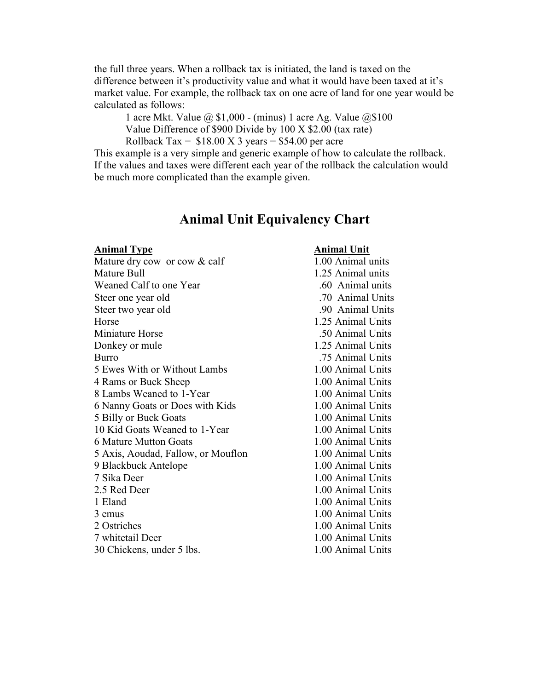the full three years. When a rollback tax is initiated, the land is taxed on the difference between it's productivity value and what it would have been taxed at it's market value. For example, the rollback tax on one acre of land for one year would be calculated as follows:

1 acre Mkt. Value @ \$1,000 - (minus) 1 acre Ag. Value @\$100 Value Difference of \$900 Divide by 100 X \$2.00 (tax rate) Rollback Tax =  $$18.00 \text{ X } 3 \text{ years} = $54.00 \text{ per acre}$ 

This example is a very simple and generic example of how to calculate the rollback. If the values and taxes were different each year of the rollback the calculation would be much more complicated than the example given.

#### **Animal Unit Equivalency Chart**

| <u>Animal Type</u>                 | <b>Animal Unit</b> |
|------------------------------------|--------------------|
| Mature dry cow or cow & calf       | 1.00 Animal units  |
| Mature Bull                        | 1.25 Animal units  |
| Weaned Calf to one Year            | .60 Animal units   |
| Steer one year old                 | .70 Animal Units   |
| Steer two year old                 | .90 Animal Units   |
| Horse                              | 1.25 Animal Units  |
| Miniature Horse                    | .50 Animal Units   |
| Donkey or mule                     | 1.25 Animal Units  |
| <b>Burro</b>                       | .75 Animal Units   |
| 5 Ewes With or Without Lambs       | 1.00 Animal Units  |
| 4 Rams or Buck Sheep               | 1.00 Animal Units  |
| 8 Lambs Weaned to 1-Year           | 1.00 Animal Units  |
| 6 Nanny Goats or Does with Kids    | 1.00 Animal Units  |
| 5 Billy or Buck Goats              | 1.00 Animal Units  |
| 10 Kid Goats Weaned to 1-Year      | 1.00 Animal Units  |
| <b>6 Mature Mutton Goats</b>       | 1.00 Animal Units  |
| 5 Axis, Aoudad, Fallow, or Mouflon | 1.00 Animal Units  |
| 9 Blackbuck Antelope               | 1.00 Animal Units  |
| 7 Sika Deer                        | 1.00 Animal Units  |
| 2.5 Red Deer                       | 1.00 Animal Units  |
| 1 Eland                            | 1.00 Animal Units  |
| 3 emus                             | 1.00 Animal Units  |
| 2 Ostriches                        | 1.00 Animal Units  |
| 7 whitetail Deer                   | 1.00 Animal Units  |
| 30 Chickens, under 5 lbs.          | 1.00 Animal Units  |